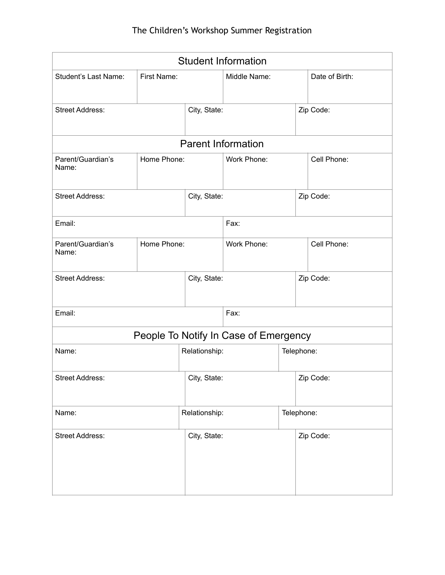| <b>Student Information</b>            |              |               |              |            |                |  |  |  |  |
|---------------------------------------|--------------|---------------|--------------|------------|----------------|--|--|--|--|
| Student's Last Name:                  | First Name:  |               | Middle Name: |            | Date of Birth: |  |  |  |  |
| <b>Street Address:</b>                |              | City, State:  |              |            | Zip Code:      |  |  |  |  |
| <b>Parent Information</b>             |              |               |              |            |                |  |  |  |  |
| Parent/Guardian's<br>Name:            | Home Phone:  |               | Work Phone:  |            | Cell Phone:    |  |  |  |  |
| <b>Street Address:</b>                | City, State: |               |              |            | Zip Code:      |  |  |  |  |
| Email:                                |              | Fax:          |              |            |                |  |  |  |  |
| Parent/Guardian's<br>Name:            | Home Phone:  | Work Phone:   |              |            | Cell Phone:    |  |  |  |  |
| <b>Street Address:</b>                |              | City, State:  |              |            | Zip Code:      |  |  |  |  |
| Email:                                |              | Fax:          |              |            |                |  |  |  |  |
| People To Notify In Case of Emergency |              |               |              |            |                |  |  |  |  |
| Name:                                 |              | Relationship: |              | Telephone: |                |  |  |  |  |
| <b>Street Address:</b>                |              | City, State:  |              |            | Zip Code:      |  |  |  |  |
| Name:                                 |              | Relationship: |              | Telephone: |                |  |  |  |  |
| <b>Street Address:</b>                |              | City, State:  |              |            | Zip Code:      |  |  |  |  |